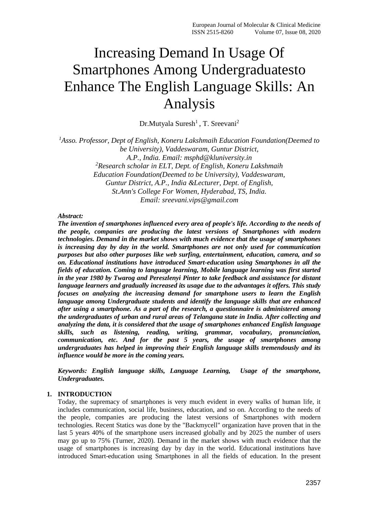# Increasing Demand In Usage Of Smartphones Among Undergraduatesto Enhance The English Language Skills: An Analysis

Dr.Mutyala Suresh<sup>1</sup>, T. Sreevani<sup>2</sup>

<sup>1</sup>Asso. Professor, Dept of English, Koneru Lakshmaih Education Foundation(Deemed to *be University), Vaddeswaram, Guntur District, A.P., India. Email: msphd@kluniversity.in <sup>2</sup>Research scholar in ELT, Dept. of English, Koneru Lakshmaih Education Foundation(Deemed to be University), Vaddeswaram, Guntur District, A.P., India &Lecturer, Dept. of English, St.Ann's College For Women, Hyderabad, TS, India. Email: sreevani.vips@gmail.com*

## *Abstract:*

*The invention of smartphones influenced every area of people's life. According to the needs of the people, companies are producing the latest versions of Smartphones with modern technologies. Demand in the market shows with much evidence that the usage of smartphones is increasing day by day in the world. Smartphones are not only used for communication purposes but also other purposes like web surfing, entertainment, education, camera, and so on. Educational institutions have introduced Smart-education using Smartphones in all the fields of education. Coming to language learning, Mobile language learning was first started in the year 1980 by Twarog and Pereszlenyi Pinter to take feedback and assistance for distant language learners and gradually increased its usage due to the advantages it offers. This study focuses on analyzing the increasing demand for smartphone users to learn the English language among Undergraduate students and identify the language skills that are enhanced after using a smartphone. As a part of the research, a questionnaire is administered among the undergraduates of urban and rural areas of Telangana state in India. After collecting and analyzing the data, it is considered that the usage of smartphones enhanced English language skills, such as listening, reading, writing, grammar, vocabulary, pronunciation, communication, etc. And for the past 5 years, the usage of smartphones among undergraduates has helped in improving their English language skills tremendously and its influence would be more in the coming years.*

*Keywords: English language skills, Language Learning, Usage of the smartphone, Undergraduates.*

## **1. INTRODUCTION**

Today, the supremacy of smartphones is very much evident in every walks of human life, it includes communication, social life, business, education, and so on. According to the needs of the people, companies are producing the latest versions of Smartphones with modern technologies. Recent Statics was done by the "Backmycell" organization have proven that in the last 5 years 40% of the smartphone users increased globally and by 2025 the number of users may go up to 75% (Turner, 2020). Demand in the market shows with much evidence that the usage of smartphones is increasing day by day in the world. Educational institutions have introduced Smart-education using Smartphones in all the fields of education. In the present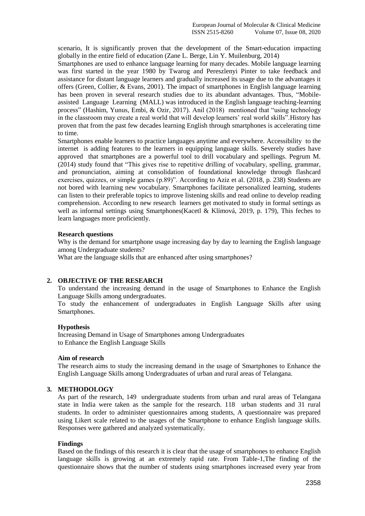scenario, It is significantly proven that the development of the Smart-education impacting globally in the entire field of education (Zane L. Berge, Lin Y. Muilenburg, 2014)

Smartphones are used to enhance language learning for many decades. Mobile language learning was first started in the year 1980 by Twarog and Pereszlenyi Pinter to take feedback and assistance for distant language learners and gradually increased its usage due to the advantages it offers (Green, Collier, & Evans, 2001). The impact of smartphones in English language learning has been proven in several research studies due to its abundant advantages. Thus, "Mobileassisted Language Learning (MALL) was introduced in the English language teaching-learning process" (Hashim, Yunus, Embi, & Ozir, 2017). Anil (2018) mentioned that "using technology in the classroom may create a real world that will develop learners' real world skills".History has proven that from the past few decades learning English through smartphones is accelerating time to time.

Smartphones enable learners to practice languages anytime and everywhere. Accessibility to the internet is adding features to the learners in equipping language skills. Severely studies have approved that smartphones are a powerful tool to drill vocabulary and spellings. Pegrum M. (2014) study found that "This gives rise to repetitive drilling of vocabulary, spelling, grammar, and pronunciation, aiming at consolidation of foundational knowledge through flashcard exercises, quizzes, or simple games (p.89)". According to Aziz et al. (2018, p. 238) Students are not bored with learning new vocabulary. Smartphones facilitate personalized learning, students can listen to their preferable topics to improve listening skills and read online to develop reading comprehension. According to new research learners get motivated to study in formal settings as well as informal settings using Smartphones(Kacetl & Klímová, 2019, p. 179), This feches to learn languages more proficiently.

#### **Research questions**

Why is the demand for smartphone usage increasing day by day to learning the English language among Undergraduate students?

What are the language skills that are enhanced after using smartphones?

## **2. OBJECTIVE OF THE RESEARCH**

To understand the increasing demand in the usage of Smartphones to Enhance the English Language Skills among undergraduates.

To study the enhancement of undergraduates in English Language Skills after using Smartphones.

## **Hypothesis**

Increasing Demand in Usage of Smartphones among Undergraduates to Enhance the English Language Skills

## **Aim of research**

The research aims to study the increasing demand in the usage of Smartphones to Enhance the English Language Skills among Undergraduates of urban and rural areas of Telangana.

## **3. METHODOLOGY**

As part of the research, 149 undergraduate students from urban and rural areas of Telangana state in India were taken as the sample for the research. 118 urban students and 31 rural students. In order to administer questionnaires among students, A questionnaire was prepared using Likert scale related to the usages of the Smartphone to enhance English language skills. Responses were gathered and analyzed systematically.

#### **Findings**

Based on the findings of this research it is clear that the usage of smartphones to enhance English language skills is growing at an extremely rapid rate. From Table-1,The finding of the questionnaire shows that the number of students using smartphones increased every year from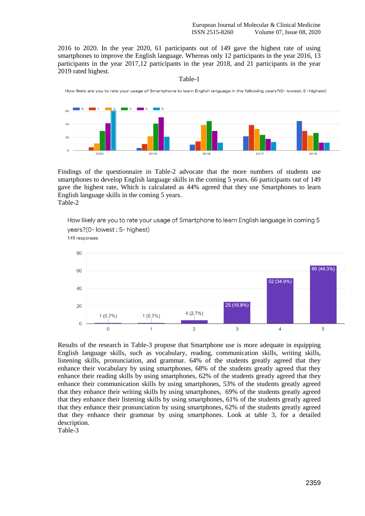2016 to 2020. In the year 2020, 61 participants out of 149 gave the highest rate of using smartphones to improve the English language. Whereas only 12 participants in the year 2016, 13 participants in the year 2017,12 participants in the year 2018, and 21 participants in the year 2019 rated highest.

Table-1



Findings of the questionnaire in Table-2 advocate that the more numbers of students use smartphones to develop English language skills in the coming 5 years. 66 participants out of 149 gave the highest rate, Which is calculated as 44% agreed that they use Smartphones to learn English language skills in the coming 5 years. Table-2

How likely are you to rate your usage of Smartphone to learn English language in coming 5 years?(0- lowest : 5- highest) 149 responses



Results of the research in Table-3 propose that Smartphone use is more adequate in equipping English language skills, such as vocabulary, reading, communication skills, writing skills, listening skills, pronunciation, and grammar. 64% of the students greatly agreed that they enhance their vocabulary by using smartphones, 68% of the students greatly agreed that they enhance their reading skills by using smartphones, 62% of the students greatly agreed that they enhance their communication skills by using smartphones, 53% of the students greatly agreed that they enhance their writing skills by using smartphones, 69% of the students greatly agreed that they enhance their listening skills by using smartphones, 61% of the students greatly agreed that they enhance their pronunciation by using smartphones, 62% of the students greatly agreed that they enhance their grammar by using smartphones. Look at table 3, for a detailed description.

Table-3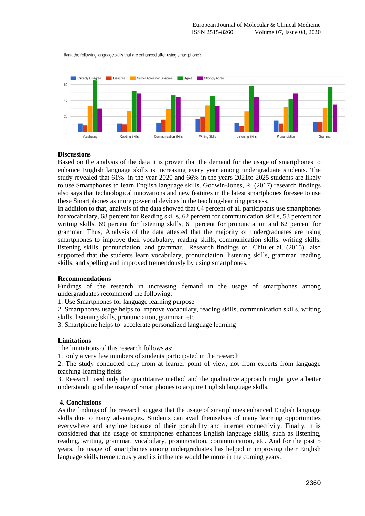Rank the following language skills that are enhanced after using smartphone?



#### **Discussions**

Based on the analysis of the data it is proven that the demand for the usage of smartphones to enhance English language skills is increasing every year among undergraduate students. The study revealed that 61% in the year 2020 and 66% in the years 2021to 2025 students are likely to use Smartphones to learn English language skills. Godwin-Jones, R. (2017) research findings also says that technological innovations and new features in the latest smartphones foresee to use these Smartphones as more powerful devices in the teaching-learning process.

In addition to that, analysis of the data showed that 64 percent of all participants use smartphones for vocabulary, 68 percent for Reading skills, 62 percent for communication skills, 53 percent for writing skills, 69 percent for listening skills, 61 percent for pronunciation and 62 percent for grammar. Thus, Analysis of the data attested that the majority of undergraduates are using smartphones to improve their vocabulary, reading skills, communication skills, writing skills, listening skills, pronunciation, and grammar. Research findings of Chiu et al. (2015) also supported that the students learn vocabulary, pronunciation, listening skills, grammar, reading skills, and spelling and improved tremendously by using smartphones.

#### **Recommendations**

Findings of the research in increasing demand in the usage of smartphones among undergraduates recommend the following:

1. Use Smartphones for language learning purpose

2. Smartphones usage helps to Improve vocabulary, reading skills, communication skills, writing skills, listening skills, pronunciation, grammar, etc.

3. Smartphone helps to accelerate personalized language learning

#### **Limitations**

The limitations of this research follows as:

1. only a very few numbers of students participated in the research

2. The study conducted only from at learner point of view, not from experts from language teaching-learning fields

3. Research used only the quantitative method and the qualitative approach might give a better understanding of the usage of Smartphones to acquire English language skills.

#### **4. Conclusions**

As the findings of the research suggest that the usage of smartphones enhanced English language skills due to many advantages. Students can avail themselves of many learning opportunities everywhere and anytime because of their portability and internet connectivity. Finally, it is considered that the usage of smartphones enhances English language skills, such as listening, reading, writing, grammar, vocabulary, pronunciation, communication, etc. And for the past 5 years, the usage of smartphones among undergraduates has helped in improving their English language skills tremendously and its influence would be more in the coming years.